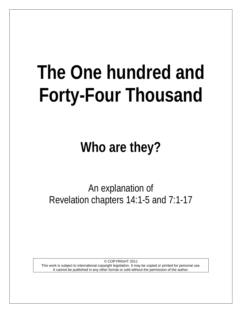# **The One hundred and Forty-Four Thousand**

**Who are they?**

An explanation of Revelation chapters 14:1-5 and 7:1-17

© COPYRIGHT 2011 This work is subject to international copyright legislation. It may be copied or printed for personal use. It cannot be published in any other format or sold without the permission of the author.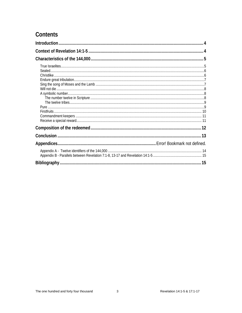# Contents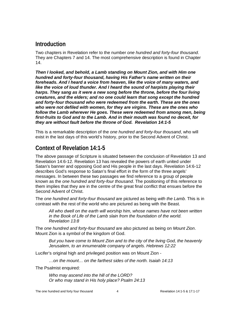# <span id="page-3-0"></span>**Introduction**

Two chapters in Revelation refer to the number *one hundred and forty-four thousand*. They are Chapters 7 and 14. The most comprehensive description is found in Chapter 14.

*Then I looked, and behold, a Lamb standing on Mount Zion, and with Him one hundred and forty-four thousand, having His Father's name written on their*  foreheads. And I heard a voice from heaven, like the voice of many waters, and *like the voice of loud thunder. And I heard the sound of harpists playing their harps. They sang as it were a new song before the throne, before the four living creatures, and the elders; and no one could learn that song except the hundred and forty-four thousand who were redeemed from the earth. These are the ones who were not defiled with women, for they are virgins. These are the ones who follow the Lamb wherever He goes. These were redeemed from among men, being first-fruits to God and to the Lamb. And in their mouth was found no deceit, for they are without fault before the throne of God. Revelation 14:1-5*

This is a remarkable description of the *one hundred and forty-four thousand*, who will exist in the last days of this world's history, prior to the Second Advent of Christ.

# <span id="page-3-1"></span>**Context of Revelation 14:1-5**

The above passage of Scripture is situated between the conclusion of Revelation 13 and Revelation 14:6-12. Revelation 13 has revealed the powers of earth united under Satan's banner and opposing God and His people in the last days. Revelation 14:6-12 describes God's response to Satan's final effort in the form of the three angels' messages. In between these two passages we find reference to a group of people known as the *one hundred and forty-four thousand*. The positioning of this reference to them implies that they are in the centre of the great final conflict that ensues before the Second Advent of Christ.

The *one hundred and forty-four thousand* are pictured as being *with the Lamb.* This is in contrast with the rest of the world who are pictured as being with the Beast.

*All who dwell on the earth will worship him, whose names have not been written in the Book of Life of the Lamb slain from the foundation of the world. Revelation 13:8*

The *one hundred and forty-four thousand* are also pictured as being on *Mount Zion*. Mount Zion is a symbol of the kingdom of God.

*But you have come to Mount Zion and to the city of the living God, the heavenly Jerusalem, to an innumerable company of angels. Hebrews 12:22*

Lucifer's original high and privileged position was on Mount Zion -

*…on the mount… on the farthest sides of the north. Isaiah 14:13*

The Psalmist enquired:

*Who may ascend into the hill of the LORD? Or who may stand in His holy place? Psalm 24:13*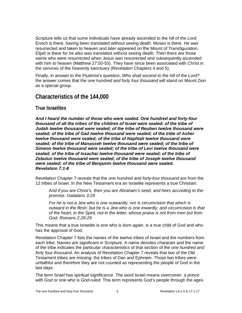Scripture tells us that some individuals have already ascended to the *hill of the Lord*. Enoch is there, having been translated without seeing death. Moses is there. He was resurrected and taken to heaven and later appeared on the Mount of Transfiguration. Elijah is there for he also was translated without seeing death. Then there are those saints who were resurrected when Jesus was resurrected and subsequently ascended with him to heaven (Matthew 27:50-53). They have since been associated with Christ in the services of the heavenly sanctuary (Revelation Chapters 4 and 5).

Finally, in answer to the Psalmist's question, *Who shall ascend to the hill of the Lord?* the answer comes that the *one hundred and forty four thousand* will stand on Mount Zion as a special group.

# <span id="page-4-0"></span>**Characteristics of the 144,000**

## <span id="page-4-1"></span>**True Israelites**

*And I heard the number of those who were sealed. One hundred and forty-four thousand of all the tribes of the children of Israel were sealed: of the tribe of Judah twelve thousand were sealed; of the tribe of Reuben twelve thousand were sealed; of the tribe of Gad twelve thousand were sealed; of the tribe of Asher twelve thousand were sealed; of the tribe of Naphtali twelve thousand were sealed; of the tribe of Manasseh twelve thousand were sealed; of the tribe of Simeon twelve thousand were sealed; of the tribe of Levi twelve thousand were sealed; of the tribe of Issachar twelve thousand were sealed; of the tribe of Zebulun twelve thousand were sealed; of the tribe of Joseph twelve thousand were sealed; of the tribe of Benjamin twelve thousand were sealed. Revelation 7:1-8*

Revelation Chapter 7 reveals that the *one hundred and forty-four thousand* are from the 12 tribes of Israel. In the New Testament era an Israelite represents a true Christian.

*And if you are Christ's, then you are Abraham's seed, and heirs according to the promise. Galatians 3:29*

*For he is not a Jew who is one outwardly, nor is circumcision that which is outward in the flesh; but he is a Jew who is one inwardly; and circumcision is that of the heart, in the Spirit, not in the letter; whose praise is not from men but from God. Romans 2:28-29*

This means that a true Israelite is one who is *born again*, is a true child of God and who has the approval of God.

Revelation Chapter 7 lists the names of the twelve tribes of Israel and the numbers from each tribe. Names are significant in Scripture. A name denotes character and the name of the tribe indicates the particular characteristics of that section of the *one hundred and forty four thousand*. An analysis of Revelation Chapter 7 reveals that two of the Old Testament tribes are missing: the tribes of Dan and Ephraim. Those two tribes were unfaithful and therefore they are not counted as representing the people of God in the last days.

The term *Israel* has spiritual significance. The word Israel means *overcomer, a prince with God* or one who is *God-ruled*. This term represents God's people through the ages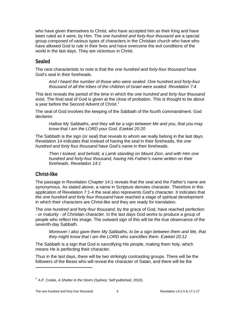who have given themselves to Christ, who have accepted him as their King and have been ruled as it were, by Him. The *one hundred and forty-four thousand* are a special group composed of various types of characters in the Christian church who have who have allowed God to rule in their lives and have overcome the evil conditions of the world in the last days. They are victorious in Christ.

## <span id="page-5-0"></span>**Sealed**

The next characteristic to note is that the *one hundred and forty-four thousand* have God's seal in their foreheads.

*And I heard the number of those who were sealed. One hundred and forty-four thousand of all the tribes of the children of Israel were sealed. Revelation 7:4*

This text reveals the period of the time in which the *one hundred and forty four thousand* exist. The final seal of God is given at the close of probation. This is thought to be about a year before the Second Advent of Christ.<sup>[1](#page-5-2)</sup>

The seal of God involves the keeping of the Sabbath of the fourth commandment. God declares:

*Hallow My Sabbaths, and they will be a sign between Me and you, that you may know that I am the LORD your God. Ezekiel 20:20*

The Sabbath is the sign (or seal) that reveals to whom we really belong in the last days. Revelation 14 indicates that instead of having the *seal* in their foreheads, the *one hundred and forty four thousand* have God's *name* in their foreheads.

*Then I looked, and behold, a Lamb standing on Mount Zion, and with Him one hundred and forty-four thousand, having His Father's name written on their foreheads. Revelation 14:1*

# <span id="page-5-1"></span>**Christ-like**

 $\overline{a}$ 

The passage in Revelation Chapter 14:1 reveals that the *seal* and the *Father's name* are synonymous. As stated above, a name in Scripture denotes character. Therefore in this application of Revelation 7:1-4 the seal also represents God's character. It indicates that the *one hundred and forty four thousand* have reached a stage of spiritual development in which their characters are Christ-like and they are ready for translation.

The *one hundred and forty-four thousand*, by the grace of God, have reached perfection - or maturity - of Christian character. In the last days God works to produce a group of people who reflect His image. The outward sign of this will be the true observance of the seventh-day Sabbath.

*Moreover I also gave them My Sabbaths, to be a sign between them and Me, that they might know that I am the LORD who sanctifies them. Ezekiel 20:12*

The Sabbath is a sign that God is sanctifying His people, making them holy, which means He is perfecting their character.

Thus in the last days, there will be two strikingly contrasting groups. There will be the followers of the Beast who will reveal the character of Satan, and there will be the

<span id="page-5-2"></span><sup>&</sup>lt;sup>1</sup> A.P. Cooke, *A Shelter in the Storm* (Sydney: Self published, 2010).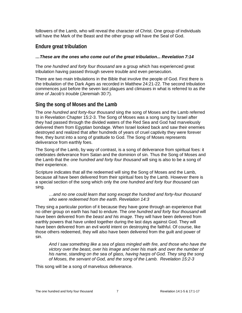followers of the Lamb, who will reveal the character of Christ. One group of individuals will have the Mark of the Beast and the other group will have the Seal of God.

## <span id="page-6-0"></span>**Endure great tribulation**

#### *…These are the ones who come out of the great tribulation... Revelation 7:14*

The *one hundred and forty four thousand* are a group which has experienced great tribulation having passed through severe trouble and even persecution.

There are two main tribulations in the Bible that involve the people of God. First there is the tribulation of the Dark Ages as recorded in Matthew 24:21-22. The second tribulation commences just before the seven last plagues and climaxes in what is referred to as *the time of Jacob's trouble* (Jeremiah 30:7).

## <span id="page-6-1"></span>**Sing the song of Moses and the Lamb**

The *one hundred and forty-four thousand* sing the song of Moses and the Lamb referred to in Revelation Chapter 15:2-3. The Song of Moses was a song sung by Israel after they had passed through the divided waters of the Red Sea and God had marvelously delivered them from Egyptian bondage. When Israel looked back and saw their enemies destroyed and realized that after hundreds of years of cruel captivity they were forever free, they burst into a song of gratitude to God. The Song of Moses represents deliverance from earthly foes.

The Song of the Lamb, by way of contrast, is a song of deliverance from spiritual foes: it celebrates deliverance from Satan and the dominion of sin. Thus the Song of Moses and the Lamb that the *one hundred and forty four thousand* will sing is also to be a song of their experience.

Scripture indicates that all the redeemed will sing the Song of Moses and the Lamb, because all have been delivered from their spiritual foes by the Lamb. However there is a special section of the song which only the *one hundred and forty four thousand* can sing.

#### *…and no one could learn that song except the hundred and forty-four thousand who were redeemed from the earth. Revelation 14:3*

They sing a particular portion of it because they have gone through an experience that no other group on earth has had to endure. The *one hundred and forty four thousand* will have been delivered from the *beast and his image*. They will have been delivered from earthly powers that have united together during the last days against God. They will have been delivered from an evil world intent on destroying the faithful. Of course, like those others redeemed, they will also have been delivered from the guilt and power of sin.

*And I saw something like a sea of glass mingled with fire, and those who have the victory over the beast, over his image and over his mark and over the number of his name, standing on the sea of glass, having harps of God. They sing the song of Moses, the servant of God, and the song of the Lamb. Revelation 15:2-3*

This song will be a song of marvelous deliverance.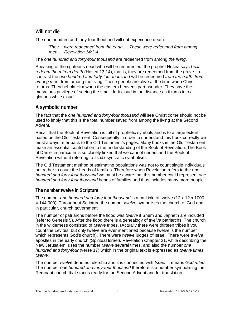## <span id="page-7-0"></span>**Will not die**

The one hundred and forty-four thousand will not experience death.

*They….were redeemed from the earth…. These were redeemed from among men… Revelation 14:3-4*

The *one hundred and forty-four thousand* are redeemed from among *the living*.

Speaking of the righteous dead who will be resurrected, the prophet Hosea says *I will redeem them from death* (Hosea 13:14), that is, they are redeemed from the grave. In contrast the *one hundred and forty-four thousand* will be redeemed *from the earth*, *from among men*, from among the living. These people are alive at the time when Christ returns. They behold Him when the eastern heavens part asunder. They have the marvelous privilege of seeing the small dark cloud in the distance as it turns into a glorious white cloud.

# <span id="page-7-1"></span>**A symbolic number**

The fact that the *one hundred and forty-four thousand* will see Christ come should not be used to imply that this is the total number saved from among the living at the Second Advent.

Recall that the Book of Revelation is full of prophetic symbols and is to a large extent based on the Old Testament. Consequently in order to understand this book correctly we must always refer back to the Old Testament's pages. Many books in the Old Testament make an essential contribution to the understanding of the Book of Revelation. The Book of Daniel in particular is so closely linked that we cannot understand the Book of Revelation without referring to its idiosyncratic symbolism.

The Old Testament method of estimating populations was not to count single individuals but rather to count the heads of families. Therefore when Revelation refers to the *one hundred and forty-four thousand* we must be aware that this number could represent *one hundred and forty-four thousand* heads of families and thus includes many more people.

## <span id="page-7-2"></span>**The number twelve in Scripture**

The number *one hundred and forty four thousand* is a multiple of twelve (12 x 12 x 1000 = 144,000). Throughout Scripture the number *twelve* symbolises the church of God and in particular, church government.

The number of patriarchs before the flood was *twelve* if Shem and Japheth are included (refer to Genesis 5). After the flood there is a genealogy of *twelve* patriarchs. The church in the wilderness consisted of *twelve* tribes. (Actually there were thirteen tribes if you count the Levites, but only twelve are ever mentioned because twelve is the number which represents God's church). There were *twelve* judges of Israel. There were *twelve* apostles in the early church (Spiritual Israel). Revelation Chapter 21, while describing the New Jerusalem, uses the number *twelve* several times, and also the number *one hundred and forty-four* (verse 17) which in the original text is expressed as *twelve times twelve.*

The number *twelve* denotes rulership and it is connected with *Israel*, it means *God ruled*. The number *one hundred and forty-four thousand* therefore is a number symbolising the Remnant church that stands ready for the Second Advent and for translation.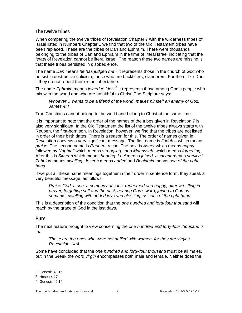#### <span id="page-8-0"></span>**The twelve tribes**

When comparing the twelve tribes of Revelation Chapter 7 with the wilderness tribes of Israel listed in Numbers Chapter 1 we find that two of the Old Testament tribes have been replaced. These are the tribes of Dan and Ephraim. There were thousands belonging to the tribes of Dan and Ephraim in the time of literal Israel indicating that the *Israel* of Revelation cannot be literal Israel. The reason these two names are missing is that these tribes persisted in disobedience.

The name *Dan* means *he has judged me*. [2](#page-8-2) It represents those in the church of God who persist in destructive criticism, those who are backbiters, slanderers. For them, like Dan, if they do not repent there is no inheritance.

The name *Ephraim* means *joined to idols*. [3](#page-8-3) It represents those among God's people who mix with the world and who are unfaithful to Christ. The Scripture says:

*Whoever… wants to be a friend of the world, makes himself an enemy of God. James 4:4*

True Christians cannot belong to the world and belong to Christ at the same time.

It is important to note that the order of the names of the tribes given in Revelation 7 is also very significant. In the Old Testament the list of the twelve tribes always starts with Reuben, the first-born son. In Revelation, however, we find that the tribes are not listed in order of their birth dates. There is a reason for this. The order of names given in Revelation conveys a very significant message. The first name is *Judah* – which means *praise*. The second name is *Reuben, a son*. The next is *Asher* which means *happy*, followed by *Naphtali* which means *struggling*, then *Manasseh*, which means *forgetting.* After this is *Simeon* which means *hearing*. *Levi* means *joined*. *Issachar* means *service. [4](#page-8-4) Zebulon* means *dwelling*. *Joseph* means *added* and *Benjamin* means *son of the right hand*.

If we put all these name meanings together in their order in sentence form, they speak a very beautiful message, as follows

*Praise God, a son, a company of sons, redeemed and happy, after wrestling in prayer, forgetting self and the past, hearing God's word, joined to God as servants, dwelling with added joys and blessing, as sons of the right hand.*

This is a description of the condition that the *one hundred and forty four thousand* will reach by the grace of God in the last days.

#### <span id="page-8-1"></span>**Pure**

 $\overline{a}$ 

The next feature brought to view concerning the *one hundred and forty-four thousand* is that

*These are the ones who were not defiled with women, for they are virgins. Revelation 14:4*

Some have concluded that the *one hundred and forty-four thousand* must be all males, but in the Greek the word *virgin* encompasses both male and female. Neither does the

<span id="page-8-2"></span><sup>2</sup> Genesis 49:16.

<sup>3</sup> Hosea 4:17

<span id="page-8-4"></span><span id="page-8-3"></span><sup>4</sup> Genesis 49:14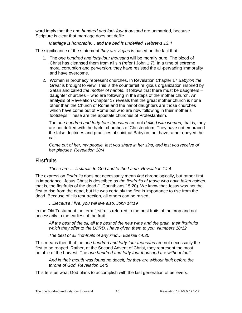word imply that the *one hundred and fort- four thousand* are unmarried, because Scripture is clear that marriage does not defile.

*Marriage is honorable… and the bed is undefiled. Hebrews 13:4*

The significance of the statement *they are virgins* is based on the fact that:

- 1. The *one hundred and forty-four thousand* will be morally pure. The blood of Christ has cleansed them from all sin (refer I John 1:7)*.* In a time of extreme moral corruption and perversion, they have resisted the all-pervading immorality and have overcome.
- 2. Women in prophecy represent churches. In Revelation Chapter 17 *Babylon the Great* is brought to view. This is the counterfeit religious organization inspired by Satan and called *the mother of harlots*. It follows that there must be daughters – daughter churches – who are following in the steps of the mother church. An analysis of Revelation Chapter 17 reveals that the great mother church is none other than the Church of Rome and the harlot daughters are those churches which have come out of Rome but who are now following in their mother's footsteps. These are the apostate churches of Protestantism.

The *one hundred and forty-four thousand* are not *defiled with women,* that is, they are not defiled with the harlot churches of Christendom. They have not embraced the false doctrines and practices of spiritual Babylon, but have rather obeyed the call:

*Come out of her, my people, lest you share in her sins, and lest you receive of her plagues. Revelation 18:4*

## <span id="page-9-0"></span>**Firstfruits**

*These are … firstfruits to God and to the Lamb. Revelation 14:4*

The expression *firstfruits* does not necessarily mean *first* chronologically, but rather first in importance. Jesus Christ is described as *the firstfruits of those who have fallen asleep*, that is, the firstfruits of the dead (1 Corinthians 15:20). We know that Jesus was not the first to rise from the dead, but He was certainly the first in importance to rise from the dead. Because of His resurrection, all others can be raised.

*…Because I live, you will live also. John 14:19* 

In the Old Testament the term firstfruits referred to the best fruits of the crop and not necessarily to the earliest of the fruit.

*All the best of the oil, all the best of the new wine and the grain, their firstfruits which they offer to the LORD, I have given them to you. Numbers 18:12*

*The best of all first-fruits of any kind… Ezekiel 44:30*

This means then that the *one hundred and forty-four thousand* are not necessarily the first to be reaped. Rather, at the Second Advent of Christ, they represent the most notable of the harvest. The *one hundred and forty four thousand* are *without fault*.

*And in their mouth was found no deceit, for they are without fault before the throne of God. Revelation 14:5*

This tells us what God plans to accomplish with the last generation of believers.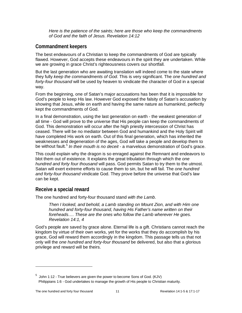*Here is the patience of the saints; here are those who keep the commandments of God and the faith of Jesus. Revelation 14:12*

## <span id="page-10-0"></span>**Commandment keepers**

The best endeavours of a Christian to keep the commandments of God are typically flawed. However, God accepts these endeavours in the spirit they are undertaken. While we are growing in grace Christ's righteousness covers our shortfall.

But the last generation who are awaiting translation will indeed come to the state where they fully *keep the commandments of God*. This is very significant. The *one hundred and forty-four thousand* will be used by heaven to vindicate the character of God in a special way.

From the beginning, one of Satan's major accusations has been that it is impossible for God's people to keep His law. However God exposed the falsity of Satan's accusation by showing that Jesus, while on earth and having the same nature as humankind, perfectly kept the commandments of God.

In a final demonstration, using the last generation on earth - the weakest generation of all time - God will prove to the universe that His people can keep the commandments of God. This demonstration will occur after the high priestly intercession of Christ has ceased. There will be no mediator between God and humankind and the Holy Spirit will have completed His work on earth. Out of this final generation, which has inherited the weaknesses and degeneration of the ages, God will take a people and develop them to be without fault. [5](#page-10-2) *In their mouth is no deceit* - a marvelous demonstration of God's grace.

This could explain why the dragon is so enraged against the Remnant and endeavors to blot them out of existence. It explains the great tribulation through which the *one hundred and forty four thousand* will pass. God permits Satan to try them to the utmost. Satan will exert extreme efforts to cause them to sin, but he will fail. The *one hundred and forty-four thousand* vindicate God. They prove before the universe that God's law can be kept.

## <span id="page-10-1"></span>**Receive a special reward**

The one hundred and forty-four thousand stand *with the Lamb*.

*Then I looked, and behold, a Lamb standing on Mount Zion, and with Him one hundred and forty-four thousand, having His Father's name written on their foreheads…. These are the ones who follow the Lamb wherever He goes. Revelation 14:1, 4*

God's people are saved by grace alone. Eternal life is a gift. Christians cannot reach the kingdom by virtue of their own works, yet for the works that they do accomplish by his grace, God will reward them accordingly in the kingdom. This passage tells us that not only will the *one hundred and forty-four thousand* be delivered, but also that a glorious privilege and reward will be theirs.

 $\overline{a}$ 

<span id="page-10-2"></span> $^5$  John 1:12 - True believers are given the power to become Sons of God. (KJV) Philippians 1:6 - God undertakes to manage the growth of His people to Christian maturity.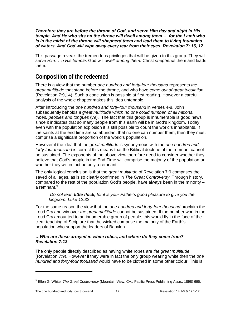*Therefore they are before the throne of God, and serve Him day and night in His temple. And He who sits on the throne will dwell among them…. for the Lamb who is in the midst of the throne will shepherd them and lead them to living fountains of waters. And God will wipe away every tear from their eyes. Revelation 7: 15, 17*

This passage reveals the tremendous privileges that will be given to this group. They will *serve Him… in His temple*. God will *dwell among them.* Christ *shepherds* them and leads them.

# <span id="page-11-0"></span>**Composition of the redeemed**

There is a view that the number *one hundred and forty-four thousand* represents *the great multitude* that stand before the throne, and who have *come out of great tribulation* (Revelation 7:9,14). Such a conclusion is possible at first reading. However a careful analysis of the whole chapter makes this idea untenable.

After introducing the *one hundred and forty-four thousand* in verses 4-8, John subsequently beholds *a great multitude which no one could number, of all nations, tribes, peoples and tongues* (v9). The fact that this group is innumerable is good news since it indicates that so many people from this earth will be in God's kingdom. Today even with the population explosion it is still possible to count the world's inhabitants. If the saints at the end time are so abundant that no one can number them, then they must comprise a significant proportion of the world's population.

However if the idea that the *great multitude* is synonymous with the *one hundred and forty-four thousand* is correct this means that the Biblical doctrine of the remnant cannot be sustained. The exponents of the above view therefore need to consider whether they believe that God's people in the End Time will comprise the majority of the population or whether they will in fact be only a remnant.

The only logical conclusion is that the *great multitude* of Revelation 7:9 comprises the saved of all ages, as is so clearly confirmed in *The Great Controversy*. Through history, compared to the rest of the population God's people, have always been in the minority – a remnant. [6](#page-11-1)

#### *Do not fear, little flock, for it is your Father's good pleasure to give you the kingdom. Luke 12:32*

For the same reason the view that the *one hundred and forty-four thousand* proclaim the Loud Cry and win over *the great multitude* cannot be sustained. If the number won in the Loud Cry amounted to an innumerable group of people, this would fly in the face of the clear teaching of Scripture that the wicked comprise the majority of the Earth's population who support the leaders of Babylon.

#### *…Who are these arrayed in white robes, and where do they come from? Revelation 7:13*

The only people directly described as having white robes are *the great multitude* (Revelation 7:9). However if they were in fact the only group wearing white then the *one hundred and forty-four thousand* would have to be clothed in some other colour. This is

 $\overline{a}$ 

<span id="page-11-1"></span><sup>6</sup> Ellen G. White, *The Great Controversy* (Mountain View, CA.: Pacific Press Publishing Assn., 1898) 665.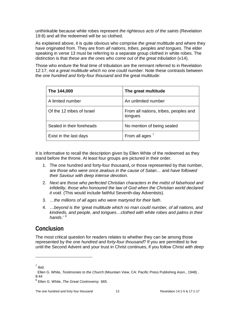unthinkable because white robes represent *the righteous acts of the saints* (Revelation 19:8) and all the redeemed will be so clothed.

As explained above, it is quite obvious who comprise *the great multitude* and where they have originated from. They are from *all nations, tribes, peoples and tongues*. The elder speaking in verse 13 must be referring to a separate group clothed in white robes. The distinction is that *these are the ones who come out of the great tribulation* (v14).

Those who endure the final time of tribulation are the remnant referred to in Revelation 12:17, not *a great multitude which no one could number*. Note these contrasts between the *one hundred and forty-four thousand* and the great multitude:

| The 144,000                | The great multitude                              |
|----------------------------|--------------------------------------------------|
| A limited number           | An unlimited number                              |
| Of the 12 tribes of Israel | From all nations, tribes, peoples and<br>tongues |
| Sealed in their foreheads  | No mention of being sealed                       |
| Exist in the last days     | From all ages <sup>7</sup>                       |

It is informative to recall the description given by Ellen White of the redeemed as they stand before the throne. At least four groups are pictured in their order.

- 1. The one hundred and forty-four thousand**,** or those represented by that number, are *those who were once zealous in the cause of Satan…* and *have followed their Saviour with deep intense devotion.*
- 2. *Next are those who perfected Christian characters in the midst of falsehood and infidelity, those who honoured the law of God when the Christian world declared it void.* (This would include faithful Seventh-day Adventists).
- 3. *…the millions of all ages who were martyred for their faith*.
- 4. …*beyond is the 'great multitude which no man could number, of all nations, and kindreds, and people, and tongues…clothed with white robes and palms in their hands*.' [8](#page-12-2)

# <span id="page-12-0"></span>**Conclusion**

The most critical question for readers relates to whether they can be among those represented by the *one hundred and forty-four thousand*? If you are permitted to live until the Second Advent and your trust in Christ continues, if you follow Christ *with deep* 

 $\overline{a}$ 

 $<sup>7</sup>$  Ibid.</sup>

<span id="page-12-1"></span>Ellen G. White, *Testimonies to the Church* (Mountain View, CA: Pacific Press Publishing Assn., 1948) , 8:44

<span id="page-12-2"></span><sup>8</sup> Ellen G. White, *The Great Controversy* 665.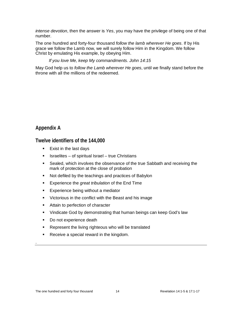*intense devotion*, then the answer is *Yes*, you may have the privilege of being one of that number.

The one hundred and forty-four thousand *follow the lamb wherever He goes*. If by His grace we follow the Lamb now, we will surely follow Him in the Kingdom. We follow Christ by emulating His example, by obeying Him.

### *If you love Me, keep My commandments. John 14:15*

<span id="page-13-0"></span>May God help us to *follow the Lamb wherever He goes*, until we finally stand before the throne with all the millions of the redeemed.

# **Appendix A**

<span id="page-13-1"></span>.

**Twelve identifiers of the 144,000**

- **Exist in the last days**
- $\blacksquare$  Israelites of spiritual Israel true Christians
- Sealed, which involves the observance of the true Sabbath and receiving the mark of protection at the close of probation
- Not defiled by the teachings and practices of Babylon
- Experience the *great tribulation* of the End Time
- **Experience being without a mediator**
- **•** Victorious in the conflict with the Beast and his image
- **Attain to perfection of character**
- **•** Vindicate God by demonstrating that human beings can keep God's law
- Do not experience death
- **Represent the living righteous who will be translated**
- Receive a special reward in the kingdom.